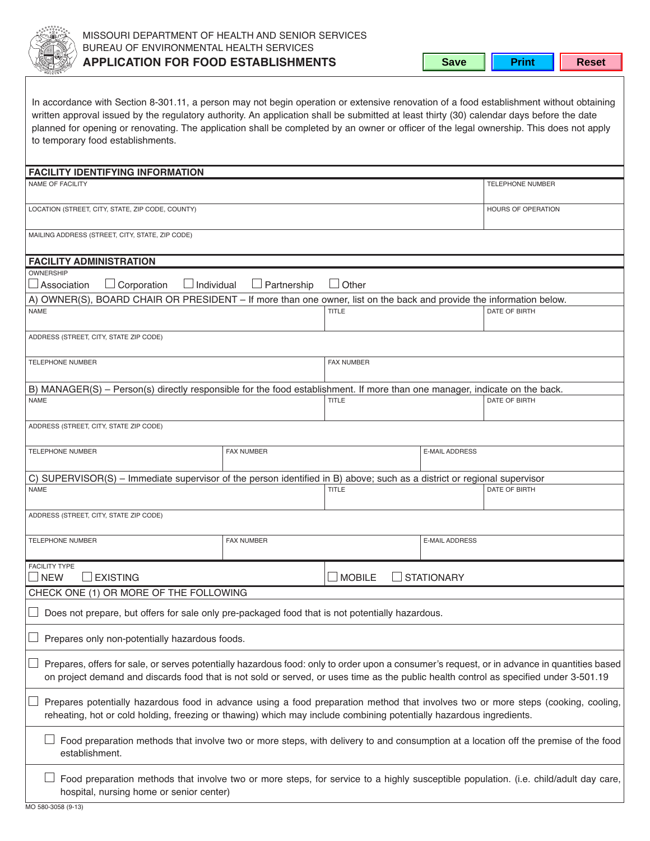

**Save Frint** Reset

| In accordance with Section 8-301.11, a person may not begin operation or extensive renovation of a food establishment without obtaining<br>written approval issued by the regulatory authority. An application shall be submitted at least thirty (30) calendar days before the date<br>planned for opening or renovating. The application shall be completed by an owner or officer of the legal ownership. This does not apply<br>to temporary food establishments. |                    |                                    |                       |                         |  |  |
|-----------------------------------------------------------------------------------------------------------------------------------------------------------------------------------------------------------------------------------------------------------------------------------------------------------------------------------------------------------------------------------------------------------------------------------------------------------------------|--------------------|------------------------------------|-----------------------|-------------------------|--|--|
| <b>FACILITY IDENTIFYING INFORMATION</b>                                                                                                                                                                                                                                                                                                                                                                                                                               |                    |                                    |                       |                         |  |  |
| NAME OF FACILITY                                                                                                                                                                                                                                                                                                                                                                                                                                                      |                    |                                    |                       | <b>TELEPHONE NUMBER</b> |  |  |
| LOCATION (STREET, CITY, STATE, ZIP CODE, COUNTY)                                                                                                                                                                                                                                                                                                                                                                                                                      |                    |                                    |                       | HOURS OF OPERATION      |  |  |
| MAILING ADDRESS (STREET, CITY, STATE, ZIP CODE)                                                                                                                                                                                                                                                                                                                                                                                                                       |                    |                                    |                       |                         |  |  |
| <b>FACILITY ADMINISTRATION</b>                                                                                                                                                                                                                                                                                                                                                                                                                                        |                    |                                    |                       |                         |  |  |
| <b>OWNERSHIP</b><br>$\Box$ Association<br>$\Box$ Corporation<br>$\Box$ Individual                                                                                                                                                                                                                                                                                                                                                                                     | $\Box$ Partnership | $\Box$ Other                       |                       |                         |  |  |
| A) OWNER(S), BOARD CHAIR OR PRESIDENT - If more than one owner, list on the back and provide the information below.                                                                                                                                                                                                                                                                                                                                                   |                    |                                    |                       |                         |  |  |
| <b>NAME</b>                                                                                                                                                                                                                                                                                                                                                                                                                                                           |                    | <b>TITLE</b>                       |                       | DATE OF BIRTH           |  |  |
| ADDRESS (STREET, CITY, STATE ZIP CODE)                                                                                                                                                                                                                                                                                                                                                                                                                                |                    |                                    |                       |                         |  |  |
| <b>TELEPHONE NUMBER</b>                                                                                                                                                                                                                                                                                                                                                                                                                                               |                    |                                    |                       |                         |  |  |
| B) MANAGER(S) – Person(s) directly responsible for the food establishment. If more than one manager, indicate on the back.                                                                                                                                                                                                                                                                                                                                            |                    |                                    |                       |                         |  |  |
| <b>NAME</b>                                                                                                                                                                                                                                                                                                                                                                                                                                                           |                    | <b>TITLE</b>                       |                       | DATE OF BIRTH           |  |  |
| ADDRESS (STREET, CITY, STATE ZIP CODE)                                                                                                                                                                                                                                                                                                                                                                                                                                |                    |                                    |                       |                         |  |  |
| <b>TELEPHONE NUMBER</b>                                                                                                                                                                                                                                                                                                                                                                                                                                               | <b>FAX NUMBER</b>  |                                    | <b>E-MAIL ADDRESS</b> |                         |  |  |
| C) SUPERVISOR(S) – Immediate supervisor of the person identified in B) above; such as a district or regional supervisor                                                                                                                                                                                                                                                                                                                                               |                    |                                    |                       |                         |  |  |
| <b>NAME</b>                                                                                                                                                                                                                                                                                                                                                                                                                                                           |                    | <b>TITLE</b>                       |                       | DATE OF BIRTH           |  |  |
| ADDRESS (STREET, CITY, STATE ZIP CODE)                                                                                                                                                                                                                                                                                                                                                                                                                                |                    |                                    |                       |                         |  |  |
| <b>TELEPHONE NUMBER</b>                                                                                                                                                                                                                                                                                                                                                                                                                                               | <b>FAX NUMBER</b>  |                                    | <b>E-MAIL ADDRESS</b> |                         |  |  |
| <b>FACILITY TYPE</b><br><b>EXISTING</b><br><b>NEW</b>                                                                                                                                                                                                                                                                                                                                                                                                                 |                    | $\Box$ MOBILE<br><b>STATIONARY</b> |                       |                         |  |  |
| CHECK ONE (1) OR MORE OF THE FOLLOWING                                                                                                                                                                                                                                                                                                                                                                                                                                |                    |                                    |                       |                         |  |  |
| Does not prepare, but offers for sale only pre-packaged food that is not potentially hazardous.                                                                                                                                                                                                                                                                                                                                                                       |                    |                                    |                       |                         |  |  |
| Prepares only non-potentially hazardous foods.                                                                                                                                                                                                                                                                                                                                                                                                                        |                    |                                    |                       |                         |  |  |
| Prepares, offers for sale, or serves potentially hazardous food: only to order upon a consumer's request, or in advance in quantities based<br>on project demand and discards food that is not sold or served, or uses time as the public health control as specified under 3-501.19                                                                                                                                                                                  |                    |                                    |                       |                         |  |  |
| Prepares potentially hazardous food in advance using a food preparation method that involves two or more steps (cooking, cooling,<br>reheating, hot or cold holding, freezing or thawing) which may include combining potentially hazardous ingredients.                                                                                                                                                                                                              |                    |                                    |                       |                         |  |  |
| Food preparation methods that involve two or more steps, with delivery to and consumption at a location off the premise of the food<br>establishment.                                                                                                                                                                                                                                                                                                                 |                    |                                    |                       |                         |  |  |
| Food preparation methods that involve two or more steps, for service to a highly susceptible population. (i.e. child/adult day care,<br>hospital, nursing home or senior center)                                                                                                                                                                                                                                                                                      |                    |                                    |                       |                         |  |  |

mo 580-3058 (9-13)